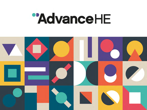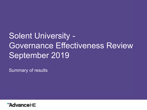#### Solent University - Governance Effectiveness Review September 2019

Summary of results

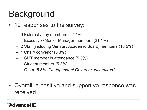### **Background**

- 19 responses to the survey:
	- 9 External / Lay members (47.4%)
	- 4 Executive / Senior Manager members (21.1%)
	- 2 Staff (including Senate / Academic Board) members (10.5%)
	- 1 Chair/ convenor (5.3%)
	- 1 SMT member in attendance (5.3%)
	- 1 Student member (5.3%)
	- 1 Other (5.3%) [*"Independent Governor, just retired"*]
- Overall, a positive and supportive response was received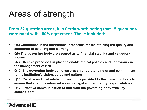### Areas of strength

**From 32 question areas, it is firstly worth noting that 15 questions were rated with 100% agreement. These included:** 

- **Q5) Confidence in the institutional processes for maintaining the quality and standards of teaching and learning**
- **Q6) The governing body are assured as to financial stability and value-formoney**
- **Q7) Effective processes in place to enable ethical policies and behaviours in the management of risk**
- **Q12) The governing body demonstrates an understanding of and commitment to the institution's vision, ethos and culture**
- **Q16) Reliable and up-to-date information is provided to the governing body to ensure that it is fully informed about its legal and regulatory responsibilities**
- **Q17) Effective communication to and from the governing body with key stakeholders**

#### **AdvanceHF**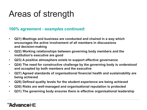### Areas of strength

#### **100% agreement -** *examples continued:*

- **Q21) Meetings and business are conducted and chaired in a way which encourages the active involvement of all members in discussions and decision-making**
- **Q22) Working relationships between governing body members and the institution's executive are good**
- **Q23) A positive atmosphere exists to support effective governance**
- **Q24) The need for constructive challenge by the governing body is understood and accepted by both members and the executive**
- **Q27) Agreed standards of organisational financial health and sustainability are being achieved**
- **Q29) Defined quality levels for the student experience are being achieved**
- **Q30) Risks are well-managed and organisational reputation is protected**
- **Q31) The governing body ensures there is effective organisational leadership**

#### **AdvanceHF**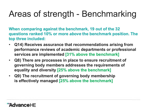### Areas of strength - Benchmarking

**When comparing against the benchmark, 19 out of the 32 questions ranked 10% or more** *above* **the benchmark position. The top three included:** 

- **Q14) Receives assurance that recommendations arising from performance reviews of academic departments or professional services are implemented [31% above the benchmark]**
- **Q8) There are processes in place to ensure recruitment of governing body members addresses the requirements of equality and diversity [25% above the benchmark]**
- **Q9) The recruitment of governing body membership is effectively managed [25% above the benchmark]**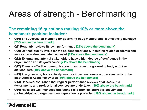# Areas of strength - Benchmarking

#### **The remaining 16 questions ranking 10% or more above the benchmark position included:**

- **Q10) The succession planning for governing body membership is effectively managed [23% above the benchmark]**
- **Q2) Regularly reviews its own performance [22% above the benchmark]**
- **Q29) Defined quality levels for the student experience, including related academic and service provision, are being achieved [21% above the benchmark]**
- **Q32) External and internal stakeholders have a high degree of confidence in the organisation and its governance [21% above the benchmark]**
- **Q17) There is effective communication to and from the governing body with key stakeholders [19% above the benchmark]**
- **Q19) The governing body actively ensures it has assurance on the standards of the institution's: Academic awards [19% above the benchmark]**
- **Q13) Receives assurance that regular performance reviews of all academic departments and professional services are undertaken [19% above the benchmark]**
- **Q30) Risks are well-managed (including risks from collaborative activity and partnerships) and organisational reputation is protected [18% above the benchmark]**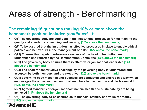# Areas of strength - Benchmarking

#### **The remaining 16 questions ranking 10% or more above the benchmark position included** *(continued…):*

- **Q5) The governing body are confident in the institutional processes for maintaining the quality and standards of teaching and learning [15% above the benchmark]**
- **Q7) To be assured that the institution has effective processes in place to enable ethical policies and behaviours in the management of risk? [15% above the benchmark]**
- **Q15) Ensures that regular performance reviews of the head of institution are undertaken and reported by the Remuneration Committee [15% above the benchmark]**
- **Q31) The governing body ensures there is effective organisational leadership [14% above the benchmark]**
- **Q24) The need for constructive challenge by the governing body is understood and accepted by both members and the executive [12% above the benchmark]**
- **Q21) governing body meetings and business are conducted and chaired in a way which encourages the active involvement of all members in discussions and decision-making [12% above the benchmark]**
- **Q27) Agreed standards of organisational financial health and sustainability are being achieved [11% above the benchmark]**
- **Q6) The governing body to be assured as to financial stability and value-for-money [10% above the benchmark)**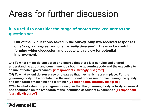# Areas for further discussion

**It is useful to consider the range of scores received across the question set**

• **Out of the 32 questions asked in the survey, only two received responses of '***strongly disagree***' and one '***partially disagree***'. This may be useful in forming wider discussion and debate with a view for potential improvement.**

**Q1) To what extent do you agree or disagree that there is a genuine and shared understanding about and commitment by both the governing body and the executive to ensure effective governance? [2 respondents 'strongly disagree']**

**Q5) To what extent do you agree or disagree that mechanisms are in place: For the governing body to be confident in the institutional processes for maintaining the quality and standards of teaching and learning? [2 respondents 'strongly disagree']**

**Q20) To what extent do you agree or disagree that the governing body actively ensures it has assurance on the standards of the institution's: Student experience? [1 respondent 'partially disagree']**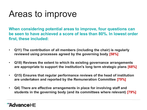### Areas to improve

**When considering potential areas to improve, four questions can be seen to have achieved a score of less than 80%. In lowest order first, these included:**

- **Q11) The contribution of all members (including the chair) is regularly reviewed using processes agreed by the governing body [58%]**
- **Q18) Reviews the extent to which its existing governance arrangements are appropriate to support the institution's long term strategic plans [68%]**
- **Q15) Ensures that regular performance reviews of the head of institution are undertaken and reported by the Remuneration Committee [79%]**
- **Q4) There are effective arrangements in place for involving staff and students in the governing body (and its committees where relevant) [79%]**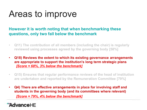### Areas to improve

#### **However it is worth noting that when benchmarking these questions, only two fall below the benchmark**

- **Q11) The contribution of all members (including the chair) is regularly reviewed using processes agreed by the governing body [58%]**
- **Q18) Reviews the extent to which its existing governance arrangements are appropriate to support the institution's long term strategic plans**  *[Score = 68%, 3% below the benchmark]*
- **Q15) Ensures that regular performance reviews of the head of institution are undertaken and reported by the Remuneration Committee [79%]**
- **Q4) There are effective arrangements in place for involving staff and students in the governing body (and its committees where relevant)**  *[Score = 79%, 4% below the benchmark]*

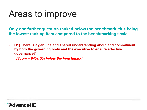### Areas to improve

**Only one further question ranked below the benchmark, this being the lowest ranking item compared to the benchmarking scale**

• **Q1) There is a genuine and shared understanding about and commitment by both the governing body and the executive to ensure effective governance?**

*[Score = 84%, 5% below the benchmark]*

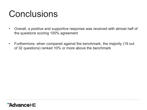# **Conclusions**

- Overall, a positive and supportive response was received with almost half of the questions scoring 100% agreement
- Furthermore, when compared against the benchmark, the majority (19 out of 32 questions) ranked 10% or more above the benchmark

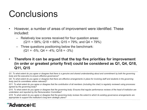# Conclusions

- However, a number of areas of improvement were identified. These included:
	- Relatively low scores received for four question areas:  $(Q11 = 58\%; Q18 = 68\%; Q15 = 79\%; and Q4 = 79\%)$
	- Three questions positioning below the benchmark:  $(Q1 = -5\%; Q4 = -4\%; Q18 = -3\%)$

• **Therefore it can be argued that the top five priorities for improvement (in order or greatest priority first) could be considered as Q1, Q4, Q18, Q11, Q15**

*Q1. To what extent do you agree or disagree that there is a genuine and shared understanding about and commitment by both the governing body and the executive to ensure effective governance?*

**\_\_\_\_\_\_\_\_\_\_\_\_\_\_\_\_\_\_\_\_\_\_\_\_\_\_\_\_\_\_\_\_\_\_\_\_\_\_\_\_\_\_\_\_\_\_\_\_\_\_\_\_\_\_\_\_\_\_\_\_\_\_\_\_\_\_\_\_\_\_\_\_\_\_\_\_\_\_\_\_\_\_\_\_\_\_\_\_\_\_\_\_\_\_\_\_\_\_\_\_\_\_\_\_\_\_\_\_\_\_\_\_\_\_\_\_\_\_\_\_\_\_\_\_\_ \_\_\_\_\_\_\_\_\_\_\_\_\_\_\_\_\_\_\_\_\_\_\_\_\_\_\_\_\_\_\_\_\_\_\_\_\_\_\_\_\_\_\_\_\_\_\_\_\_\_\_\_\_\_\_\_\_\_\_\_\_\_**

*Q4. To what extent do you agree or disagree that there are effective arrangements in place for involving staff and students in the governing body (and its committees where relevant)?*

*Q11. To what extent do you agree or disagree that the contribution of all members (including the chair) is regularly reviewed using processes agreed by the governing body?*

*Q15. To what extent do you agree or disagree that the governing body: Ensures that regular performance reviews of the head of institution are undertaken and reported by the Remuneration Committee?*

*Q18. To what extent do you agree or disagree that the governing body reviews the extent to which its existing governance arrangements are appropriate to support the institution's long term strategic plans?*